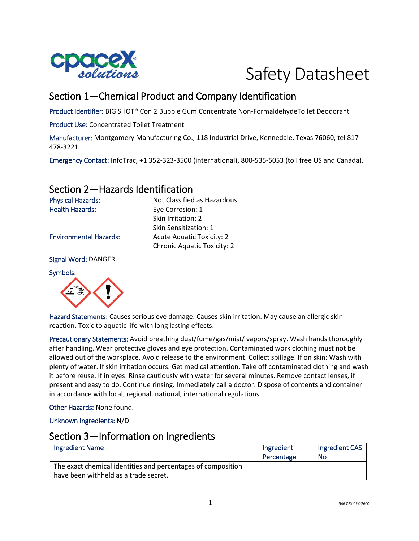

# Safety Datasheet

# Section 1—Chemical Product and Company Identification

Skin Irritation: 2 Skin Sensitization: 1

Product Identifier: BIG SHOT® Con 2 Bubble Gum Concentrate Non-FormaldehydeToilet Deodorant

Product Use: Concentrated Toilet Treatment

Manufacturer: Montgomery Manufacturing Co., 118 Industrial Drive, Kennedale, Texas 76060, tel 817- 478-3221.

Emergency Contact: InfoTrac, +1 352-323-3500 (international), 800-535-5053 (toll free US and Canada).

## Section 2—Hazards Identification

Physical Hazards: Not Classified as Hazardous Health Hazards: Eye Corrosion: 1

Environmental Hazards: Acute Aquatic Toxicity: 2

Signal Word: DANGER

Symbols:



Hazard Statements: Causes serious eye damage. Causes skin irritation. May cause an allergic skin reaction. Toxic to aquatic life with long lasting effects.

Chronic Aquatic Toxicity: 2

Precautionary Statements: Avoid breathing dust/fume/gas/mist/ vapors/spray. Wash hands thoroughly after handling. Wear protective gloves and eye protection. Contaminated work clothing must not be allowed out of the workplace. Avoid release to the environment. Collect spillage. If on skin: Wash with plenty of water. If skin irritation occurs: Get medical attention. Take off contaminated clothing and wash it before reuse. If in eyes: Rinse cautiously with water for several minutes. Remove contact lenses, if present and easy to do. Continue rinsing. Immediately call a doctor. Dispose of contents and container in accordance with local, regional, national, international regulations.

Other Hazards: None found.

Unknown Ingredients: N/D

# Section 3—Information on Ingredients

| <b>Ingredient Name</b>                                       | Ingredient | Ingredient CAS |
|--------------------------------------------------------------|------------|----------------|
|                                                              | Percentage | No             |
| The exact chemical identities and percentages of composition |            |                |
| have been withheld as a trade secret.                        |            |                |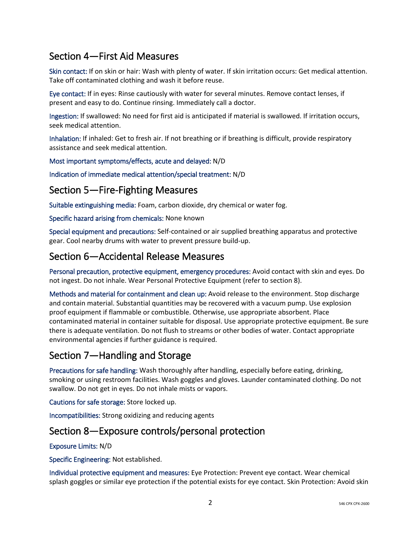# Section 4—First Aid Measures

Skin contact: If on skin or hair: Wash with plenty of water. If skin irritation occurs: Get medical attention. Take off contaminated clothing and wash it before reuse.

Eye contact: If in eyes: Rinse cautiously with water for several minutes. Remove contact lenses, if present and easy to do. Continue rinsing. Immediately call a doctor.

Ingestion: If swallowed: No need for first aid is anticipated if material is swallowed. If irritation occurs, seek medical attention.

Inhalation: If inhaled: Get to fresh air. If not breathing or if breathing is difficult, provide respiratory assistance and seek medical attention.

Most important symptoms/effects, acute and delayed: N/D

Indication of immediate medical attention/special treatment: N/D

#### Section 5—Fire-Fighting Measures

Suitable extinguishing media: Foam, carbon dioxide, dry chemical or water fog.

Specific hazard arising from chemicals: None known

Special equipment and precautions: Self-contained or air supplied breathing apparatus and protective gear. Cool nearby drums with water to prevent pressure build-up.

#### Section 6—Accidental Release Measures

Personal precaution, protective equipment, emergency procedures: Avoid contact with skin and eyes. Do not ingest. Do not inhale. Wear Personal Protective Equipment (refer to section 8).

Methods and material for containment and clean up: Avoid release to the environment. Stop discharge and contain material. Substantial quantities may be recovered with a vacuum pump. Use explosion proof equipment if flammable or combustible. Otherwise, use appropriate absorbent. Place contaminated material in container suitable for disposal. Use appropriate protective equipment. Be sure there is adequate ventilation. Do not flush to streams or other bodies of water. Contact appropriate environmental agencies if further guidance is required.

## Section 7—Handling and Storage

Precautions for safe handling: Wash thoroughly after handling, especially before eating, drinking, smoking or using restroom facilities. Wash goggles and gloves. Launder contaminated clothing. Do not swallow. Do not get in eyes. Do not inhale mists or vapors.

Cautions for safe storage: Store locked up.

Incompatibilities: Strong oxidizing and reducing agents

## Section 8—Exposure controls/personal protection

Exposure Limits: N/D

Specific Engineering: Not established.

Individual protective equipment and measures: Eye Protection: Prevent eye contact. Wear chemical splash goggles or similar eye protection if the potential exists for eye contact. Skin Protection: Avoid skin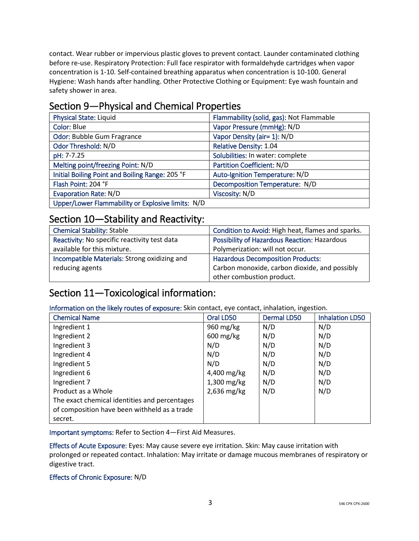contact. Wear rubber or impervious plastic gloves to prevent contact. Launder contaminated clothing before re-use. Respiratory Protection: Full face respirator with formaldehyde cartridges when vapor concentration is 1-10. Self-contained breathing apparatus when concentration is 10-100. General Hygiene: Wash hands after handling. Other Protective Clothing or Equipment: Eye wash fountain and safety shower in area.

# Section 9—Physical and Chemical Properties

| <b>Physical State: Liquid</b>                     | Flammability (solid, gas): Not Flammable |
|---------------------------------------------------|------------------------------------------|
| Color: Blue                                       | Vapor Pressure (mmHg): N/D               |
| Odor: Bubble Gum Fragrance                        | Vapor Density (air= 1): N/D              |
| Odor Threshold: N/D                               | <b>Relative Density: 1.04</b>            |
| pH: 7-7.25                                        | Solubilities: In water: complete         |
| Melting point/freezing Point: N/D                 | <b>Partition Coefficient: N/D</b>        |
| Initial Boiling Point and Boiling Range: 205 °F   | Auto-Ignition Temperature: N/D           |
| Flash Point: 204 °F                               | Decomposition Temperature: N/D           |
| <b>Evaporation Rate: N/D</b>                      | Viscosity: N/D                           |
| Upper/Lower Flammability or Explosive limits: N/D |                                          |

## Section 10—Stability and Reactivity:

| <b>Chemical Stability: Stable</b>            | Condition to Avoid: High heat, flames and sparks.   |
|----------------------------------------------|-----------------------------------------------------|
| Reactivity: No specific reactivity test data | <b>Possibility of Hazardous Reaction: Hazardous</b> |
| available for this mixture.                  | Polymerization: will not occur.                     |
| Incompatible Materials: Strong oxidizing and | <b>Hazardous Decomposition Products:</b>            |
| reducing agents                              | Carbon monoxide, carbon dioxide, and possibly       |
|                                              | other combustion product.                           |

# Section 11—Toxicological information:

Information on the likely routes of exposure: Skin contact, eye contact, inhalation, ingestion.

| <b>Chemical Name</b>                          | Oral LD50              | Dermal LD50 | <b>Inhalation LD50</b> |
|-----------------------------------------------|------------------------|-------------|------------------------|
| Ingredient 1                                  | 960 mg/kg              | N/D         | N/D                    |
| Ingredient 2                                  | $600 \,\mathrm{mg/kg}$ | N/D         | N/D                    |
| Ingredient 3                                  | N/D                    | N/D         | N/D                    |
| Ingredient 4                                  | N/D                    | N/D         | N/D                    |
| Ingredient 5                                  | N/D                    | N/D         | N/D                    |
| Ingredient 6                                  | 4,400 mg/kg            | N/D         | N/D                    |
| Ingredient 7                                  | $1,300$ mg/kg          | N/D         | N/D                    |
| Product as a Whole                            | $2,636$ mg/kg          | N/D         | N/D                    |
| The exact chemical identities and percentages |                        |             |                        |
| of composition have been withheld as a trade  |                        |             |                        |
| secret.                                       |                        |             |                        |

Important symptoms: Refer to Section 4—First Aid Measures.

Effects of Acute Exposure: Eyes: May cause severe eye irritation. Skin: May cause irritation with prolonged or repeated contact. Inhalation: May irritate or damage mucous membranes of respiratory or digestive tract.

#### Effects of Chronic Exposure: N/D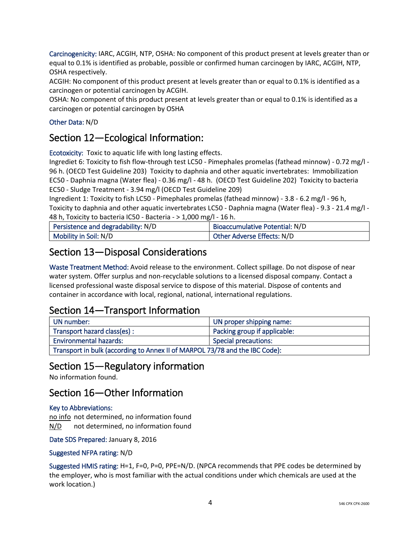Carcinogenicity: IARC, ACGIH, NTP, OSHA: No component of this product present at levels greater than or equal to 0.1% is identified as probable, possible or confirmed human carcinogen by IARC, ACGIH, NTP, OSHA respectively.

ACGIH: No component of this product present at levels greater than or equal to 0.1% is identified as a carcinogen or potential carcinogen by ACGIH.

OSHA: No component of this product present at levels greater than or equal to 0.1% is identified as a carcinogen or potential carcinogen by OSHA

#### Other Data: N/D

#### Section 12—Ecological Information:

Ecotoxicity: Toxic to aquatic life with long lasting effects.

Ingrediet 6: Toxicity to fish flow-through test LC50 - Pimephales promelas (fathead minnow) - 0.72 mg/l - 96 h. (OECD Test Guideline 203) Toxicity to daphnia and other aquatic invertebrates: Immobilization EC50 - Daphnia magna (Water flea) - 0.36 mg/l - 48 h. (OECD Test Guideline 202) Toxicity to bacteria EC50 - Sludge Treatment - 3.94 mg/l (OECD Test Guideline 209)

Ingredient 1: Toxicity to fish LC50 - Pimephales promelas (fathead minnow) - 3.8 - 6.2 mg/l - 96 h, Toxicity to daphnia and other aquatic invertebrates LC50 - Daphnia magna (Water flea) - 9.3 - 21.4 mg/l - 48 h, Toxicity to bacteria IC50 - Bacteria - > 1,000 mg/l - 16 h.

| Persistence and degradability: N/D | Bioaccumulative Potential: N/D |
|------------------------------------|--------------------------------|
| Mobility in Soil: N/D              | Other Adverse Effects: N/D     |

#### Section 13—Disposal Considerations

Waste Treatment Method: Avoid release to the environment. Collect spillage. Do not dispose of near water system. Offer surplus and non-recyclable solutions to a licensed disposal company. Contact a licensed professional waste disposal service to dispose of this material. Dispose of contents and container in accordance with local, regional, national, international regulations.

## Section 14—Transport Information

| UN number:                                                                  | UN proper shipping name:     |
|-----------------------------------------------------------------------------|------------------------------|
| Transport hazard class(es):                                                 | Packing group if applicable: |
| <b>Environmental hazards:</b>                                               | <b>Special precautions:</b>  |
| Transport in bulk (according to Annex II of MARPOL 73/78 and the IBC Code): |                              |

#### Section 15—Regulatory information

No information found.

#### Section 16—Other Information

#### Key to Abbreviations:

no info not determined, no information found N/D not determined, no information found

Date SDS Prepared: January 8, 2016

#### Suggested NFPA rating: N/D

Suggested HMIS rating: H=1, F=0, P=0, PPE=N/D. (NPCA recommends that PPE codes be determined by the employer, who is most familiar with the actual conditions under which chemicals are used at the work location.)